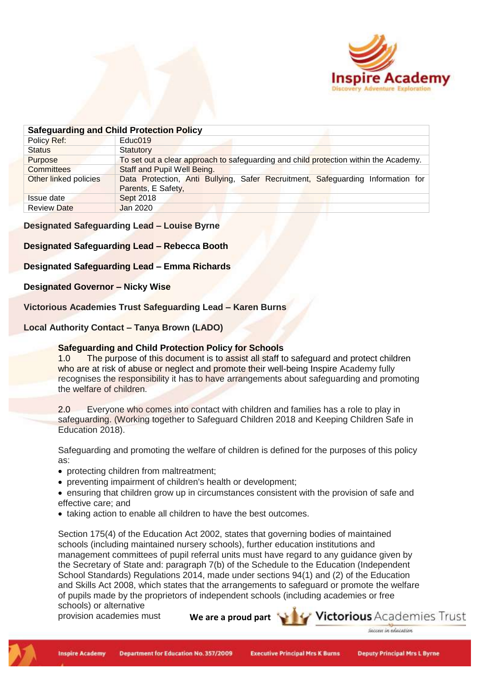

| <b>Safeguarding and Child Protection Policy</b> |                                                                                      |
|-------------------------------------------------|--------------------------------------------------------------------------------------|
| Policy Ref:                                     | Educ <sub>019</sub>                                                                  |
| <b>Status</b>                                   | <b>Statutory</b>                                                                     |
| Purpose                                         | To set out a clear approach to safeguarding and child protection within the Academy. |
| <b>Committees</b>                               | Staff and Pupil Well Being.                                                          |
| Other linked policies                           | Data Protection, Anti Bullying, Safer Recruitment, Safeguarding Information for      |
|                                                 | Parents, E Safety,                                                                   |
| <b>Issue date</b>                               | Sept 2018                                                                            |
| <b>Review Date</b>                              | <b>Jan 2020</b>                                                                      |

**Designated Safeguarding Lead – Louise Byrne**

**Designated Safeguarding Lead – Rebecca Booth**

**Designated Safeguarding Lead – Emma Richards**

**Designated Governor – Nicky Wise**

**Victorious Academies Trust Safeguarding Lead – Karen Burns**

**Local Authority Contact – Tanya Brown (LADO)**

#### **Safeguarding and Child Protection Policy for Schools**

1.0 The purpose of this document is to assist all staff to safeguard and protect children who are at risk of abuse or neglect and promote their well-being Inspire Academy fully recognises the responsibility it has to have arrangements about safeguarding and promoting the welfare of children.

2.0 Everyone who comes into contact with children and families has a role to play in safeguarding. (Working together to Safeguard Children 2018 and Keeping Children Safe in Education 2018).

Safeguarding and promoting the welfare of children is defined for the purposes of this policy as:

- protecting children from maltreatment;
- preventing impairment of children's health or development;
- ensuring that children grow up in circumstances consistent with the provision of safe and effective care; and
- taking action to enable all children to have the best outcomes.

Section 175(4) of the Education Act 2002, states that governing bodies of maintained schools (including maintained nursery schools), further education institutions and management committees of pupil referral units must have regard to any guidance given by the Secretary of State and: paragraph 7(b) of the Schedule to the Education (Independent School Standards) Regulations 2014, made under sections 94(1) and (2) of the Education and Skills Act 2008, which states that the arrangements to safeguard or promote the welfare of pupils made by the proprietors of independent schools (including academies or free schools) or alternative **Victorious** Academies Trust

provision academies must

**We are a proud part** 

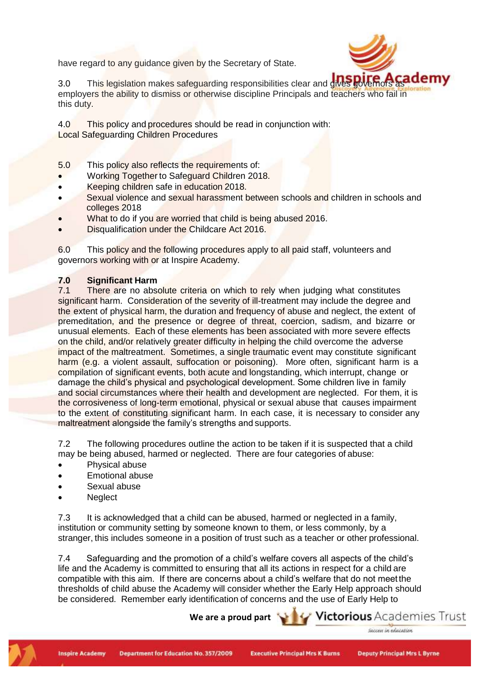have regard to any guidance given by the Secretary of State.



3.0 This legislation makes safeguarding responsibilities clear and gives governors as ademy employers the ability to dismiss or otherwise discipline Principals and teachers who fail in this duty.

4.0 This policy and procedures should be read in conjunction with: Local Safeguarding Children Procedures

- 5.0 This policy also reflects the requirements of:
- Working Together to Safeguard Children 2018.
- Keeping children safe in education 2018.
- Sexual violence and sexual harassment between schools and children in schools and colleges 2018
- What to do if you are worried that child is being abused 2016.
- Disqualification under the Childcare Act 2016.

6.0 This policy and the following procedures apply to all paid staff, volunteers and governors working with or at Inspire Academy.

## **7.0 Significant Harm**

7.1 There are no absolute criteria on which to rely when judging what constitutes significant harm. Consideration of the severity of ill-treatment may include the degree and the extent of physical harm, the duration and frequency of abuse and neglect, the extent of premeditation, and the presence or degree of threat, coercion, sadism, and bizarre or unusual elements. Each of these elements has been associated with more severe effects on the child, and/or relatively greater difficulty in helping the child overcome the adverse impact of the maltreatment. Sometimes, a single traumatic event may constitute significant harm (e.g. a violent assault, suffocation or poisoning). More often, significant harm is a compilation of significant events, both acute and longstanding, which interrupt, change or damage the child's physical and psychological development. Some children live in family and social circumstances where their health and development are neglected. For them, it is the corrosiveness of long-term emotional, physical or sexual abuse that causes impairment to the extent of constituting significant harm. In each case, it is necessary to consider any maltreatment alongside the family's strengths and supports.

7.2 The following procedures outline the action to be taken if it is suspected that a child may be being abused, harmed or neglected. There are four categories of abuse:

- Physical abuse
- Emotional abuse
- Sexual abuse
- **Neglect**

7.3 It is acknowledged that a child can be abused, harmed or neglected in a family, institution or community setting by someone known to them, or less commonly, by a stranger, this includes someone in a position of trust such as a teacher or other professional.

7.4 Safeguarding and the promotion of a child's welfare covers all aspects of the child's life and the Academy is committed to ensuring that all its actions in respect for a child are compatible with this aim. If there are concerns about a child's welfare that do not meet the thresholds of child abuse the Academy will consider whether the Early Help approach should be considered. Remember early identification of concerns and the use of Early Help to

**We are a proud part** 

**Victorious** Academies Trust Success in education

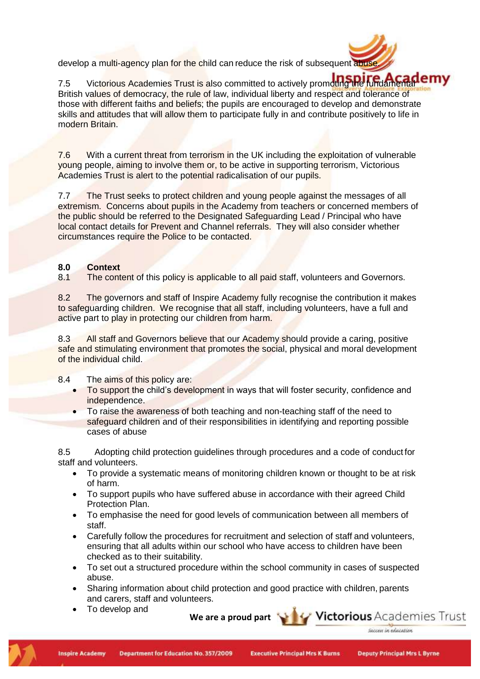develop a multi-agency plan for the child can reduce the risk of subsequent abuse.

7.5 Victorious Academies Trust is also committed to actively promoting the fundamental emy British values of democracy, the rule of law, individual liberty and respect and tolerance of those with different faiths and beliefs; the pupils are encouraged to develop and demonstrate skills and attitudes that will allow them to participate fully in and contribute positively to life in modern Britain.

7.6 With a current threat from terrorism in the UK including the exploitation of vulnerable young people, aiming to involve them or, to be active in supporting terrorism, Victorious Academies Trust is alert to the potential radicalisation of our pupils.

7.7 The Trust seeks to protect children and young people against the messages of all extremism. Concerns about pupils in the Academy from teachers or concerned members of the public should be referred to the Designated Safeguarding Lead / Principal who have local contact details for Prevent and Channel referrals. They will also consider whether circumstances require the Police to be contacted.

## **8.0 Context**

8.1 The content of this policy is applicable to all paid staff, volunteers and Governors.

8.2 The governors and staff of Inspire Academy fully recognise the contribution it makes to safeguarding children. We recognise that all staff, including volunteers, have a full and active part to play in protecting our children from harm.

8.3 All staff and Governors believe that our Academy should provide a caring, positive safe and stimulating environment that promotes the social, physical and moral development of the individual child.

## 8.4 The aims of this policy are:

- To support the child's development in ways that will foster security, confidence and independence.
- To raise the awareness of both teaching and non-teaching staff of the need to safeguard children and of their responsibilities in identifying and reporting possible cases of abuse

8.5 Adopting child protection guidelines through procedures and a code of conduct for staff and volunteers.

- To provide a systematic means of monitoring children known or thought to be at risk of harm.
- To support pupils who have suffered abuse in accordance with their agreed Child Protection Plan.
- To emphasise the need for good levels of communication between all members of staff.
- Carefully follow the procedures for recruitment and selection of staff and volunteers, ensuring that all adults within our school who have access to children have been checked as to their suitability.
- To set out a structured procedure within the school community in cases of suspected abuse.
- Sharing information about child protection and good practice with children, parents and carers, staff and volunteers.
- To develop and

**We are a proud part** 

Success in education

Victorious Academies Trust

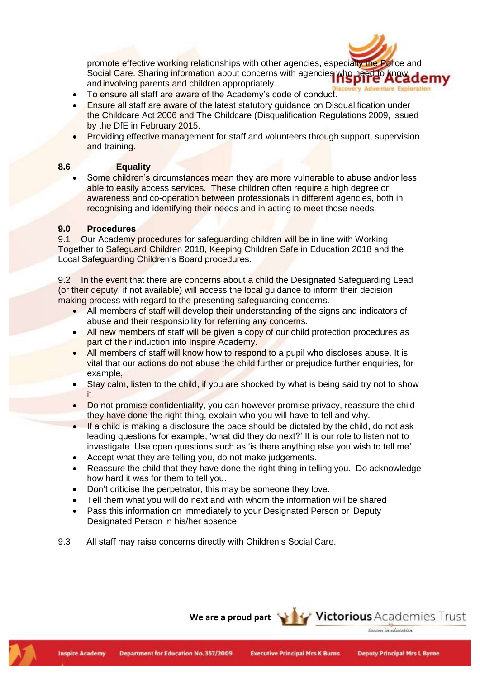promote effective working relationships with other agencies, especially the Police and Social Care. Sharing information about concerns with agencies who need to and involving parents and children appropriately.

- To ensure all staff are aware of the Academy's code of conduct.
- Ensure all staff are aware of the latest statutory guidance on Disqualification under the Childcare Act 2006 and The Childcare (Disqualification Regulations 2009, issued by the DfE in February 2015.
- Providing effective management for staff and volunteers through support, supervision and training.

#### **8.6 Equality**

 Some children's circumstances mean they are more vulnerable to abuse and/or less able to easily access services. These children often require a high degree or awareness and co-operation between professionals in different agencies, both in recognising and identifying their needs and in acting to meet those needs.

#### **9.0 Procedures**

9.1 Our Academy procedures for safeguarding children will be in line with Working Together to Safeguard Children 2018, Keeping Children Safe in Education 2018 and the Local Safeguarding Children's Board procedures.

9.2 In the event that there are concerns about a child the Designated Safeguarding Lead (or their deputy, if not available) will access the local guidance to inform their decision making process with regard to the presenting safeguarding concerns.

- All members of staff will develop their understanding of the signs and indicators of abuse and their responsibility for referring any concerns.
- All new members of staff will be given a copy of our child protection procedures as part of their induction into Inspire Academy.
- All members of staff will know how to respond to a pupil who discloses abuse. It is vital that our actions do not abuse the child further or prejudice further enquiries, for example,
- Stay calm, listen to the child, if you are shocked by what is being said try not to show it.
- Do not promise confidentiality, you can however promise privacy, reassure the child they have done the right thing, explain who you will have to tell and why.
- If a child is making a disclosure the pace should be dictated by the child, do not ask leading questions for example, 'what did they do next?' It is our role to listen not to investigate. Use open questions such as 'is there anything else you wish to tell me'.
- Accept what they are telling you, do not make judgements.
- Reassure the child that they have done the right thing in telling you. Do acknowledge how hard it was for them to tell you.
- Don't criticise the perpetrator, this may be someone they love.
- Tell them what you will do next and with whom the information will be shared
- Pass this information on immediately to your Designated Person or Deputy Designated Person in his/her absence.
- 9.3 All staff may raise concerns directly with Children's Social Care.

**We are a proud part** 

Success in education

Victorious Academies Trust

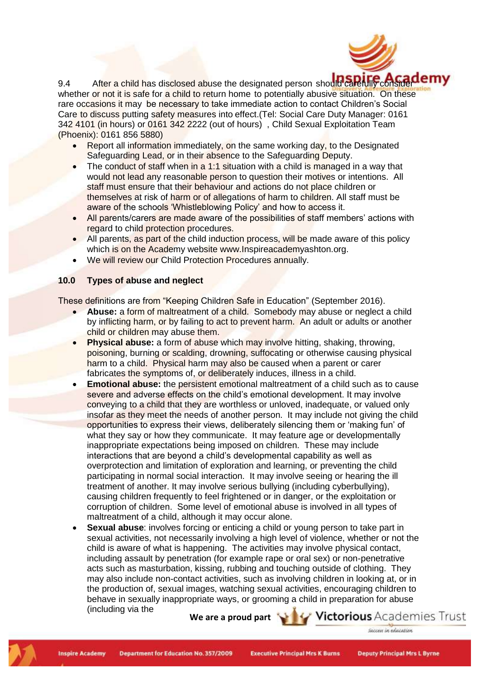

9.4 After a child has disclosed abuse the designated person should carefully consider my whether or not it is safe for a child to return home to potentially abusive situation. On these rare occasions it may be necessary to take immediate action to contact Children's Social Care to discuss putting safety measures into effect.(Tel: Social Care Duty Manager: 0161 342 4101 (in hours) or 0161 342 2222 (out of hours) , Child Sexual Exploitation Team (Phoenix): 0161 856 5880)

- Report all information immediately, on the same working day, to the Designated Safeguarding Lead, or in their absence to the Safeguarding Deputy.
- The conduct of staff when in a 1:1 situation with a child is managed in a way that would not lead any reasonable person to question their motives or intentions. All staff must ensure that their behaviour and actions do not place children or themselves at risk of harm or of allegations of harm to children. All staff must be aware of the schools 'Whistleblowing Policy' and how to access it.
- All parents/carers are made aware of the possibilities of staff members' actions with regard to child protection procedures.
- All parents, as part of the child induction process, will be made aware of this policy which is on the Academy website www.Inspireacademyashton.org.
- We will review our Child Protection Procedures annually.

## **10.0 Types of abuse and neglect**

These definitions are from "Keeping Children Safe in Education" (September 2016).

- **Abuse:** a form of maltreatment of a child. Somebody may abuse or neglect a child by inflicting harm, or by failing to act to prevent harm. An adult or adults or another child or children may abuse them.
- **Physical abuse:** a form of abuse which may involve hitting, shaking, throwing, poisoning, burning or scalding, drowning, suffocating or otherwise causing physical harm to a child. Physical harm may also be caused when a parent or carer fabricates the symptoms of, or deliberately induces, illness in a child.
- **Emotional abuse:** the persistent emotional maltreatment of a child such as to cause severe and adverse effects on the child's emotional development. It may involve conveying to a child that they are worthless or unloved, inadequate, or valued only insofar as they meet the needs of another person. It may include not giving the child opportunities to express their views, deliberately silencing them or 'making fun' of what they say or how they communicate. It may feature age or developmentally inappropriate expectations being imposed on children. These may include interactions that are beyond a child's developmental capability as well as overprotection and limitation of exploration and learning, or preventing the child participating in normal social interaction. It may involve seeing or hearing the ill treatment of another. It may involve serious bullying (including cyberbullying), causing children frequently to feel frightened or in danger, or the exploitation or corruption of children. Some level of emotional abuse is involved in all types of maltreatment of a child, although it may occur alone.
- **Sexual abuse**: involves forcing or enticing a child or young person to take part in sexual activities, not necessarily involving a high level of violence, whether or not the child is aware of what is happening. The activities may involve physical contact, including assault by penetration (for example rape or oral sex) or non-penetrative acts such as masturbation, kissing, rubbing and touching outside of clothing. They may also include non-contact activities, such as involving children in looking at, or in the production of, sexual images, watching sexual activities, encouraging children to behave in sexually inappropriate ways, or grooming a child in preparation for abuse (including via the **Victorious** Academies Trust

**We are a proud part** 

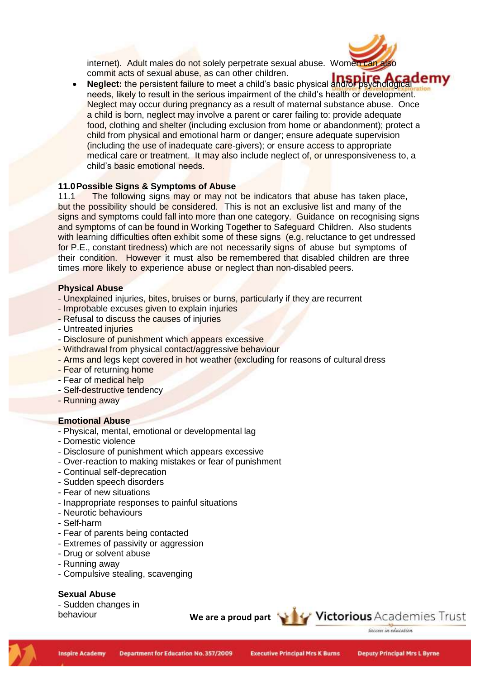internet). Adult males do not solely perpetrate sexual abuse. Women can also commit acts of sexual abuse, as can other children.



**Neglect:** the persistent failure to meet a child's basic physical and/or psychological **demy** needs, likely to result in the serious impairment of the child's health or development. Neglect may occur during pregnancy as a result of maternal substance abuse. Once a child is born, neglect may involve a parent or carer failing to: provide adequate food, clothing and shelter (including exclusion from home or abandonment); protect a child from physical and emotional harm or danger; ensure adequate supervision (including the use of inadequate care-givers); or ensure access to appropriate medical care or treatment. It may also include neglect of, or unresponsiveness to, a child's basic emotional needs.

## **11.0Possible Signs & Symptoms of Abuse**

11.1 The following signs may or may not be indicators that abuse has taken place, but the possibility should be considered. This is not an exclusive list and many of the signs and symptoms could fall into more than one category. Guidance on recognising signs and symptoms of can be found in Working Together to Safeguard Children. Also students with learning difficulties often exhibit some of these signs (e.g. reluctance to get undressed for P.E., constant tiredness) which are not necessarily signs of abuse but symptoms of their condition. However it must also be remembered that disabled children are three times more likely to experience abuse or neglect than non-disabled peers.

#### **Physical Abuse**

- Unexplained injuries, bites, bruises or burns, particularly if they are recurrent
- Improbable excuses given to explain injuries
- Refusal to discuss the causes of injuries
- Untreated injuries
- Disclosure of punishment which appears excessive
- Withdrawal from physical contact/aggressive behaviour
- Arms and legs kept covered in hot weather (excluding for reasons of cultural dress
- Fear of returning home
- Fear of medical help
- Self-destructive tendency
- Running away

## **Emotional Abuse**

- Physical, mental, emotional or developmental lag
- Domestic violence
- Disclosure of punishment which appears excessive
- Over-reaction to making mistakes or fear of punishment
- Continual self-deprecation
- Sudden speech disorders
- Fear of new situations
- Inappropriate responses to painful situations
- Neurotic behaviours
- Self-harm
- Fear of parents being contacted
- Extremes of passivity or aggression
- Drug or solvent abuse
- Running away
- Compulsive stealing, scavenging

## **Sexual Abuse**

- Sudden changes in behaviour

**We are a proud part** 



Success in education

V Victorious Academies Trust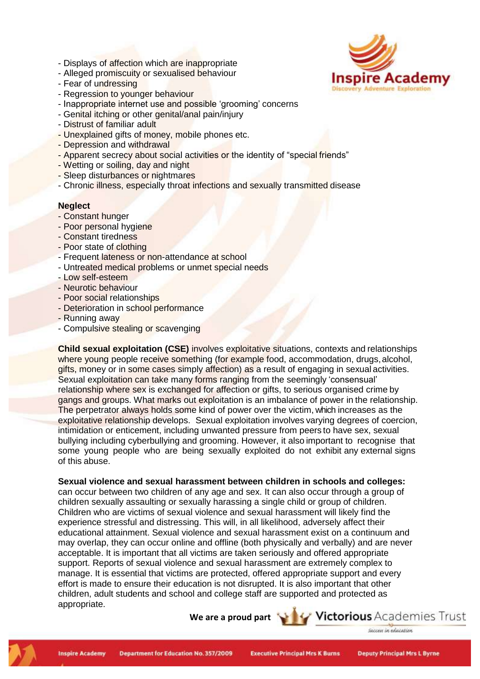- Displays of affection which are inappropriate
- Alleged promiscuity or sexualised behaviour
- Fear of undressing
- Regression to younger behaviour
- Inappropriate internet use and possible 'grooming' concerns
- Genital itching or other genital/anal pain/injury
- Distrust of familiar adult
- Unexplained gifts of money, mobile phones etc.
- Depression and withdrawal
- Apparent secrecy about social activities or the identity of "special friends"
- Wetting or soiling, day and night
- Sleep disturbances or nightmares
- Chronic illness, especially throat infections and sexually transmitted disease

#### **Neglect**

- Constant hunger
- Poor personal hygiene
- Constant tiredness
- Poor state of clothing
- Frequent lateness or non-attendance at school
- Untreated medical problems or unmet special needs
- Low self-esteem
- Neurotic behaviour
- Poor social relationships
- Deterioration in school performance
- Running away
- Compulsive stealing or scavenging

**Child sexual exploitation (CSE)** involves exploitative situations, contexts and relationships where young people receive something (for example food, accommodation, drugs, alcohol, gifts, money or in some cases simply affection) as a result of engaging in sexual activities. Sexual exploitation can take many forms ranging from the seemingly 'consensual' relationship where sex is exchanged for affection or gifts, to serious organised crime by gangs and groups. What marks out exploitation is an imbalance of power in the relationship. The perpetrator always holds some kind of power over the victim, which increases as the exploitative relationship develops. Sexual exploitation involves varying degrees of coercion, intimidation or enticement, including unwanted pressure from peers to have sex, sexual bullying including cyberbullying and grooming. However, it also important to recognise that some young people who are being sexually exploited do not exhibit any external signs of this abuse.

**Sexual violence and sexual harassment between children in schools and colleges:**

can occur between two children of any age and sex. It can also occur through a group of children sexually assaulting or sexually harassing a single child or group of children. Children who are victims of sexual violence and sexual harassment will likely find the experience stressful and distressing. This will, in all likelihood, adversely affect their educational attainment. Sexual violence and sexual harassment exist on a continuum and may overlap, they can occur online and offline (both physically and verbally) and are never acceptable. It is important that all victims are taken seriously and offered appropriate support. Reports of sexual violence and sexual harassment are extremely complex to manage. It is essential that victims are protected, offered appropriate support and every effort is made to ensure their education is not disrupted. It is also important that other children, adult students and school and college staff are supported and protected as appropriate.

**We are a proud part** 





**Victorious** Academies Trust Success in education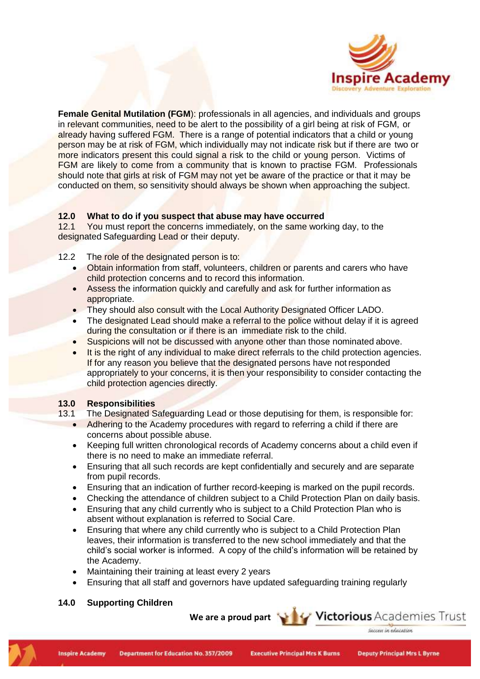

**Female Genital Mutilation (FGM):** professionals in all agencies, and individuals and groups in relevant communities, need to be alert to the possibility of a girl being at risk of FGM, or already having suffered FGM. There is a range of potential indicators that a child or young person may be at risk of FGM, which individually may not indicate risk but if there are two or more indicators present this could signal a risk to the child or young person. Victims of FGM are likely to come from a community that is known to practise FGM. Professionals should note that girls at risk of FGM may not yet be aware of the practice or that it may be conducted on them, so sensitivity should always be shown when approaching the subject.

# **12.0 What to do if you suspect that abuse may have occurred**

12.1 You must report the concerns immediately, on the same working day, to the designated Safeguarding Lead or their deputy.

12.2 The role of the designated person is to:

- Obtain information from staff, volunteers, children or parents and carers who have child protection concerns and to record this information.
- Assess the information quickly and carefully and ask for further information as appropriate.
- They should also consult with the Local Authority Designated Officer LADO.
- The designated Lead should make a referral to the police without delay if it is agreed during the consultation or if there is an immediate risk to the child.
- Suspicions will not be discussed with anyone other than those nominated above.
- It is the right of any individual to make direct referrals to the child protection agencies. If for any reason you believe that the designated persons have not responded appropriately to your concerns, it is then your responsibility to consider contacting the child protection agencies directly.

# **13.0 Responsibilities**

- The Designated Safeguarding Lead or those deputising for them, is responsible for:
	- Adhering to the Academy procedures with regard to referring a child if there are concerns about possible abuse.
	- Keeping full written chronological records of Academy concerns about a child even if there is no need to make an immediate referral.
	- Ensuring that all such records are kept confidentially and securely and are separate from pupil records.
	- Ensuring that an indication of further record-keeping is marked on the pupil records.
	- Checking the attendance of children subject to a Child Protection Plan on daily basis.
	- Ensuring that any child currently who is subject to a Child Protection Plan who is absent without explanation is referred to Social Care.
	- Ensuring that where any child currently who is subject to a Child Protection Plan leaves, their information is transferred to the new school immediately and that the child's social worker is informed. A copy of the child's information will be retained by the Academy.
	- Maintaining their training at least every 2 years
	- Ensuring that all staff and governors have updated safeguarding training regularly

## **14.0 Supporting Children**

**We are a proud part Wickerious** Academies Trust

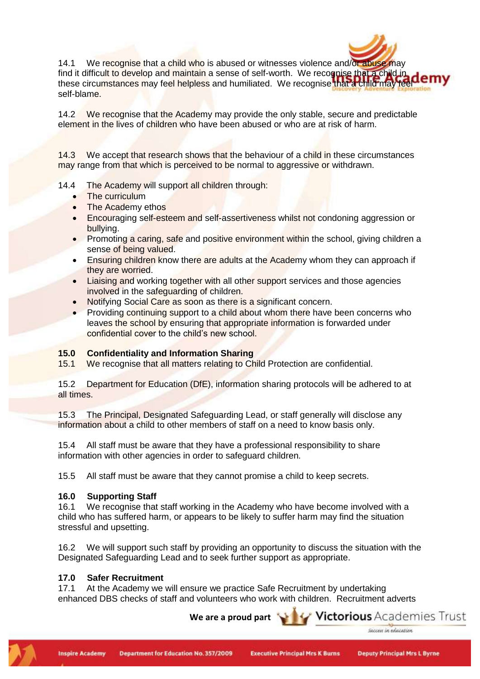14.1 We recognise that a child who is abused or witnesses violence and/or abuse may find it difficult to develop and maintain a sense of self-worth. We recognise that a child in these circumstances may feel helpless and humiliated. We recognise that a child may feel self-blame.

14.2 We recognise that the Academy may provide the only stable, secure and predictable element in the lives of children who have been abused or who are at risk of harm.

14.3 We accept that research shows that the behaviour of a child in these circumstances may range from that which is perceived to be normal to aggressive or withdrawn.

14.4 The Academy will support all children through:

- The curriculum
- The Academy ethos
- **Encouraging self-esteem and self-assertiveness whilst not condoning aggression or** bullying.
- Promoting a caring, safe and positive environment within the school, giving children a sense of being valued.
- **Ensuring children know there are adults at the Academy whom they can approach if** they are worried.
- Liaising and working together with all other support services and those agencies involved in the safeguarding of children.
- Notifying Social Care as soon as there is a significant concern.
- Providing continuing support to a child about whom there have been concerns who leaves the school by ensuring that appropriate information is forwarded under confidential cover to the child's new school.

## **15.0 Confidentiality and Information Sharing**

15.1 We recognise that all matters relating to Child Protection are confidential.

15.2 Department for Education (DfE), information sharing protocols will be adhered to at all times.

15.3 The Principal, Designated Safeguarding Lead, or staff generally will disclose any information about a child to other members of staff on a need to know basis only.

15.4 All staff must be aware that they have a professional responsibility to share information with other agencies in order to safeguard children.

15.5 All staff must be aware that they cannot promise a child to keep secrets.

#### **16.0 Supporting Staff**

16.1 We recognise that staff working in the Academy who have become involved with a child who has suffered harm, or appears to be likely to suffer harm may find the situation stressful and upsetting.

16.2 We will support such staff by providing an opportunity to discuss the situation with the Designated Safeguarding Lead and to seek further support as appropriate.

## **17.0 Safer Recruitment**

17.1 At the Academy we will ensure we practice Safe Recruitment by undertaking enhanced DBS checks of staff and volunteers who work with children. Recruitment adverts

**We are a proud part** 

**Victorious** Academies Trust Success in education

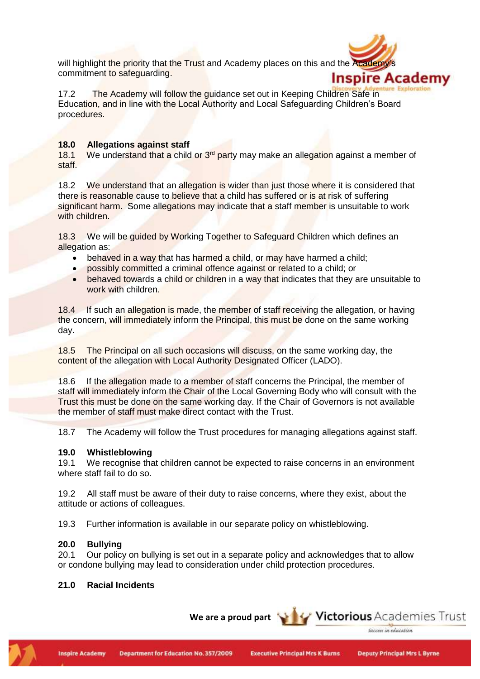will highlight the priority that the Trust and Academy places on this and the Academy commitment to safeguarding.



17.2 The Academy will follow the guidance set out in Keeping Children Safe in Education, and in line with the Local Authority and Local Safeguarding Children's Board procedures.

# **18.0 Allegations against staff**

18.1 We understand that a child or  $3<sup>rd</sup>$  party may make an allegation against a member of staff.

18.2 We understand that an allegation is wider than just those where it is considered that there is reasonable cause to believe that a child has suffered or is at risk of suffering significant harm. Some allegations may indicate that a staff member is unsuitable to work with children.

18.3 We will be guided by Working Together to Safeguard Children which defines an allegation as:

- behaved in a way that has harmed a child, or may have harmed a child;
- **•** possibly committed a criminal offence against or related to a child; or
- behaved towards a child or children in a way that indicates that they are unsuitable to work with children.

18.4 If such an allegation is made, the member of staff receiving the allegation, or having the concern, will immediately inform the Principal, this must be done on the same working day.

18.5 The Principal on all such occasions will discuss, on the same working day, the content of the allegation with Local Authority Designated Officer (LADO).

18.6 If the allegation made to a member of staff concerns the Principal, the member of staff will immediately inform the Chair of the Local Governing Body who will consult with the Trust this must be done on the same working day. If the Chair of Governors is not available the member of staff must make direct contact with the Trust.

18.7 The Academy will follow the Trust procedures for managing allegations against staff.

## **19.0 Whistleblowing**

19.1 We recognise that children cannot be expected to raise concerns in an environment where staff fail to do so.

19.2 All staff must be aware of their duty to raise concerns, where they exist, about the attitude or actions of colleagues.

19.3 Further information is available in our separate policy on whistleblowing.

## **20.0 Bullying**

20.1 Our policy on bullying is set out in a separate policy and acknowledges that to allow or condone bullying may lead to consideration under child protection procedures.

# **21.0 Racial Incidents**

**We are a proud part WAV Victorious** Academies Trust

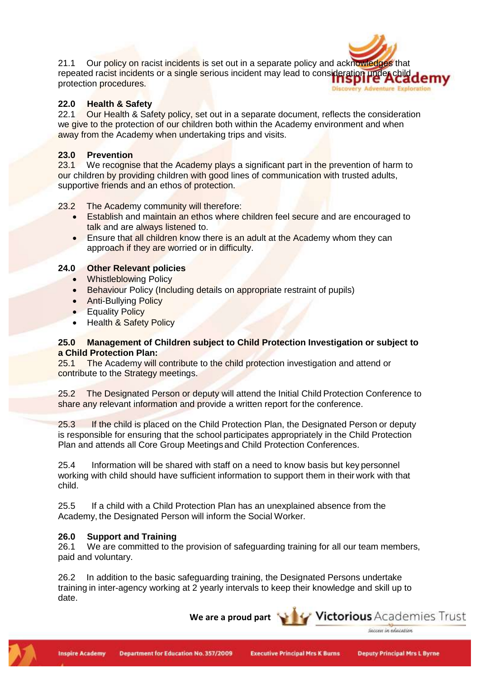21.1 Our policy on racist incidents is set out in a separate policy and acknowledges that repeated racist incidents or a single serious incident may lead to consideration under protection procedures.

## **22.0 Health & Safety**

22.1 Our Health & Safety policy, set out in a separate document, reflects the consideration we give to the protection of our children both within the Academy environment and when away from the Academy when undertaking trips and visits.

# **23.0 Prevention**

We recognise that the Academy plays a significant part in the prevention of harm to our children by providing children with good lines of communication with trusted adults, supportive friends and an ethos of protection.

## 23.2 The Academy community will therefore:

- Establish and maintain an ethos where children feel secure and are encouraged to talk and are always listened to.
- **Ensure that all children know there is an adult at the Academy whom they can** approach if they are worried or in difficulty.

## **24.0 Other Relevant policies**

- Whistleblowing Policy
- Behaviour Policy (Including details on appropriate restraint of pupils)
- Anti-Bullying Policy<br>• Equality Policy
- Equality Policy
- Health & Safety Policy

## **25.0 Management of Children subject to Child Protection Investigation or subject to a Child Protection Plan:**

25.1 The Academy will contribute to the child protection investigation and attend or contribute to the Strategy meetings.

25.2 The Designated Person or deputy will attend the Initial Child Protection Conference to share any relevant information and provide a written report for the conference.

25.3 If the child is placed on the Child Protection Plan, the Designated Person or deputy is responsible for ensuring that the school participates appropriately in the Child Protection Plan and attends all Core Group Meetingsand Child Protection Conferences.

25.4 Information will be shared with staff on a need to know basis but key personnel working with child should have sufficient information to support them in their work with that child.

25.5 If a child with a Child Protection Plan has an unexplained absence from the Academy, the Designated Person will inform the Social Worker.

## **26.0 Support and Training**

26.1 We are committed to the provision of safeguarding training for all our team members, paid and voluntary.

26.2 In addition to the basic safeguarding training, the Designated Persons undertake training in inter-agency working at 2 yearly intervals to keep their knowledge and skill up to date.

**We are a proud part** 

Success in education

Victorious Academies Trust

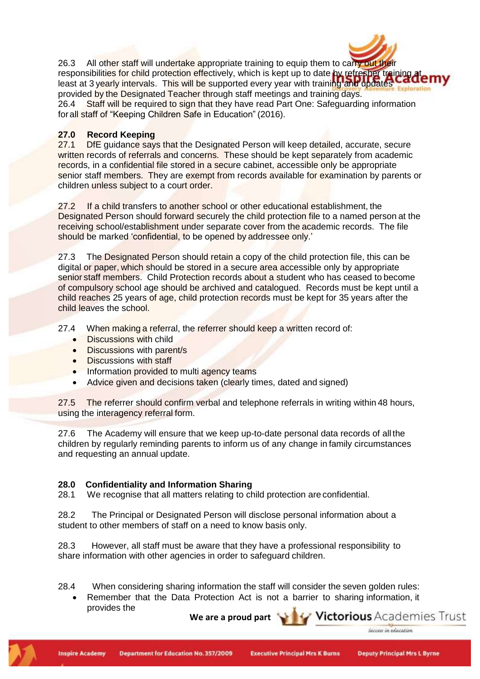26.3 All other staff will undertake appropriate training to equip them to carry out their 26.3 All other start will undertake appropriate walling to equipment of the pyrefresher training at responsibilities for child protection effectively, which is kept up to date by refresher training a least at 3 yearly intervals. This will be supported every year with training and updates provided by the Designated Teacher through staff meetings and training days. 26.4 Staff will be required to sign that they have read Part One: Safeguarding information forall staff of "Keeping Children Safe in Education" (2016).

# **27.0 Record Keeping**

27.1 DfE guidance says that the Designated Person will keep detailed, accurate, secure written records of referrals and concerns. These should be kept separately from academic records, in a confidential file stored in a secure cabinet, accessible only be appropriate senior staff members. They are exempt from records available for examination by parents or children unless subject to a court order.

27.2 If a child transfers to another school or other educational establishment, the Designated Person should forward securely the child protection file to a named person at the receiving school/establishment under separate cover from the academic records. The file should be marked 'confidential, to be opened by addressee only.'

27.3 The Designated Person should retain a copy of the child protection file, this can be digital or paper, which should be stored in a secure area accessible only by appropriate senior staff members. Child Protection records about a student who has ceased to become of compulsory school age should be archived and catalogued. Records must be kept until a child reaches 25 years of age, child protection records must be kept for 35 years after the child leaves the school.

27.4 When making a referral, the referrer should keep a written record of:

- Discussions with child
- Discussions with parent/s
- Discussions with staff
- Information provided to multi agency teams
- Advice given and decisions taken (clearly times, dated and signed)

27.5 The referrer should confirm verbal and telephone referrals in writing within 48 hours, using the interagency referral form.

27.6 The Academy will ensure that we keep up-to-date personal data records of all the children by regularly reminding parents to inform us of any change in family circumstances and requesting an annual update.

# **28.0 Confidentiality and Information Sharing**

28.1 We recognise that all matters relating to child protection are confidential.

28.2 The Principal or Designated Person will disclose personal information about a student to other members of staff on a need to know basis only.

28.3 However, all staff must be aware that they have a professional responsibility to share information with other agencies in order to safeguard children.

- 28.4 When considering sharing information the staff will consider the seven golden rules:
	- Remember that the Data Protection Act is not a barrier to sharing information, it provides the**Victorious** Academies Trust

**We are a proud part** 

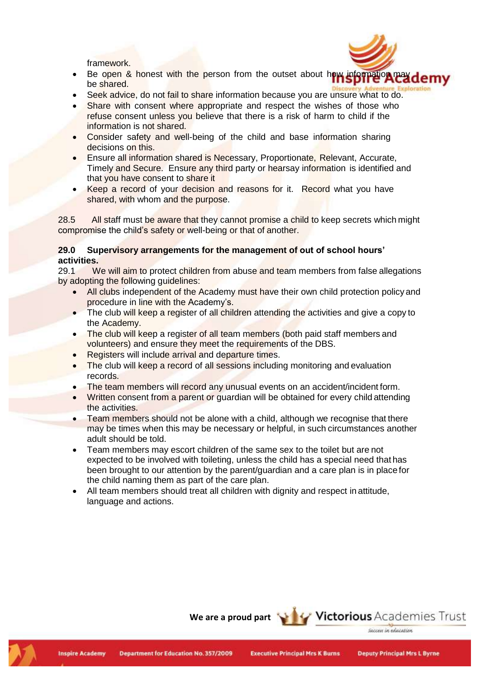framework.

- Be open & honest with the person from the outset about how information may demy be shared.
- Seek advice, do not fail to share information because you are unsure what to do.
- Share with consent where appropriate and respect the wishes of those who refuse consent unless you believe that there is a risk of harm to child if the information is not shared.
- Consider safety and well-being of the child and base information sharing decisions on this.
- Ensure all information shared is Necessary, Proportionate, Relevant, Accurate, Timely and Secure. Ensure any third party or hearsay information is identified and that you have consent to share it
- Keep a record of your decision and reasons for it. Record what you have shared, with whom and the purpose.

28.5 All staff must be aware that they cannot promise a child to keep secrets which might compromise the child's safety or well-being or that of another.

#### **29.0 Supervisory arrangements for the management of out of school hours' activities.**

29.1 We will aim to protect children from abuse and team members from false allegations by adopting the following guidelines:

- All clubs independent of the Academy must have their own child protection policy and procedure in line with the Academy's.
- The club will keep a register of all children attending the activities and give a copy to the Academy.
- The club will keep a register of all team members (both paid staff members and volunteers) and ensure they meet the requirements of the DBS.
- Registers will include arrival and departure times.
- The club will keep a record of all sessions including monitoring and evaluation records.
- The team members will record any unusual events on an accident/incident form.
- Written consent from a parent or guardian will be obtained for every child attending the activities.
- Team members should not be alone with a child, although we recognise that there may be times when this may be necessary or helpful, in such circumstances another adult should be told.
- Team members may escort children of the same sex to the toilet but are not expected to be involved with toileting, unless the child has a special need that has been brought to our attention by the parent/guardian and a care plan is in place for the child naming them as part of the care plan.
- All team members should treat all children with dignity and respect in attitude, language and actions.

**We are a proud part**  $\rightarrow \bullet$  **Victorious** Academies Trust